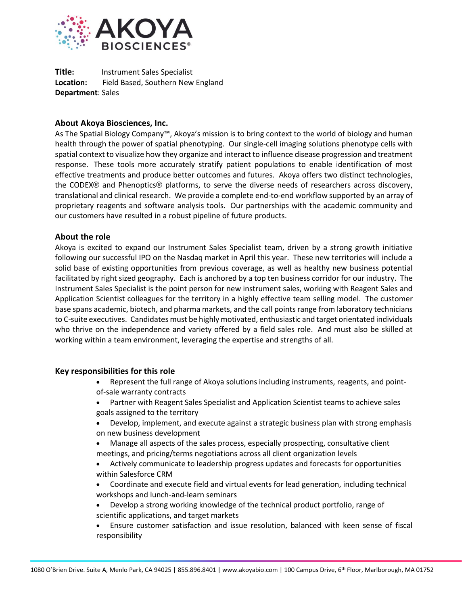

**Title:** Instrument Sales Specialist **Location:** Field Based, Southern New England **Department**: Sales

# **About Akoya Biosciences, Inc.**

As The Spatial Biology Company™, Akoya's mission is to bring context to the world of biology and human health through the power of spatial phenotyping. Our single-cell imaging solutions phenotype cells with spatial context to visualize how they organize and interact to influence disease progression and treatment response. These tools more accurately stratify patient populations to enable identification of most effective treatments and produce better outcomes and futures. Akoya offers two distinct technologies, the CODEX® and Phenoptics® platforms, to serve the diverse needs of researchers across discovery, translational and clinical research. We provide a complete end-to-end workflow supported by an array of proprietary reagents and software analysis tools. Our partnerships with the academic community and our customers have resulted in a robust pipeline of future products.

### **About the role**

Akoya is excited to expand our Instrument Sales Specialist team, driven by a strong growth initiative following our successful IPO on the Nasdaq market in April this year. These new territories will include a solid base of existing opportunities from previous coverage, as well as healthy new business potential facilitated by right sized geography. Each is anchored by a top ten business corridor for our industry. The Instrument Sales Specialist is the point person for new instrument sales, working with Reagent Sales and Application Scientist colleagues for the territory in a highly effective team selling model. The customer base spans academic, biotech, and pharma markets, and the call points range from laboratory technicians to C-suite executives. Candidates must be highly motivated, enthusiastic and target orientated individuals who thrive on the independence and variety offered by a field sales role. And must also be skilled at working within a team environment, leveraging the expertise and strengths of all.

### **Key responsibilities for this role**

- Represent the full range of Akoya solutions including instruments, reagents, and pointof-sale warranty contracts
- Partner with Reagent Sales Specialist and Application Scientist teams to achieve sales goals assigned to the territory
- Develop, implement, and execute against a strategic business plan with strong emphasis on new business development
- Manage all aspects of the sales process, especially prospecting, consultative client meetings, and pricing/terms negotiations across all client organization levels
- Actively communicate to leadership progress updates and forecasts for opportunities within Salesforce CRM
- Coordinate and execute field and virtual events for lead generation, including technical workshops and lunch-and-learn seminars
- Develop a strong working knowledge of the technical product portfolio, range of scientific applications, and target markets
- Ensure customer satisfaction and issue resolution, balanced with keen sense of fiscal responsibility